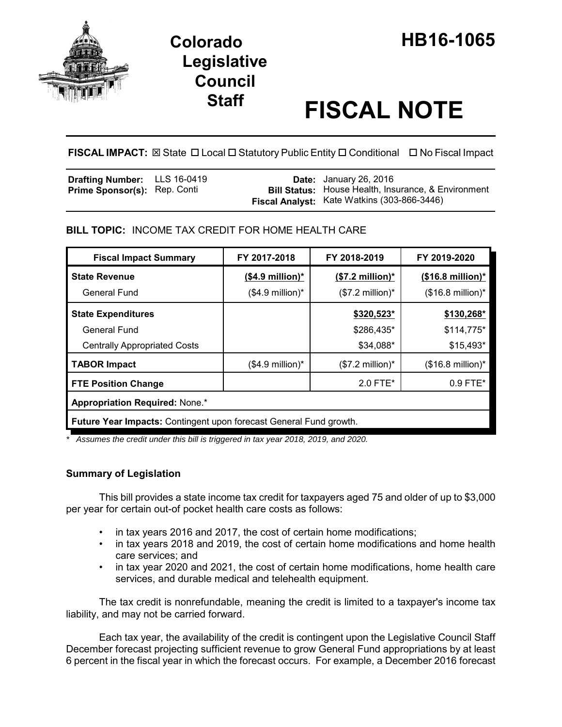

# **Legislative Council**

# **Staff FISCAL NOTE**

**FISCAL IMPACT:** ⊠ State **D** Local **D** Statutory Public Entity **D** Conditional **D** No Fiscal Impact

| <b>Drafting Number:</b> LLS 16-0419 |  | <b>Date:</b> January 26, 2016                              |
|-------------------------------------|--|------------------------------------------------------------|
| <b>Prime Sponsor(s): Rep. Conti</b> |  | <b>Bill Status:</b> House Health, Insurance, & Environment |
|                                     |  | Fiscal Analyst: Kate Watkins (303-866-3446)                |

## **BILL TOPIC:** INCOME TAX CREDIT FOR HOME HEALTH CARE

| <b>Fiscal Impact Summary</b>                                       | FY 2017-2018         | FY 2018-2019               | FY 2019-2020                |  |  |
|--------------------------------------------------------------------|----------------------|----------------------------|-----------------------------|--|--|
| <b>State Revenue</b>                                               | $($4.9$ million)*    | $($7.2 \text{ million})^*$ | $($16.8 \text{ million})^*$ |  |  |
| General Fund                                                       | $($4.9$ million)*    | $($7.2$ million)*          | $($16.8 \text{ million})^*$ |  |  |
| <b>State Expenditures</b>                                          |                      | \$320,523*                 | \$130,268*                  |  |  |
| <b>General Fund</b>                                                |                      | \$286,435*                 | $$114,775$ *                |  |  |
| <b>Centrally Appropriated Costs</b>                                |                      | \$34,088*                  | $$15,493*$                  |  |  |
| <b>TABOR Impact</b>                                                | $($4.9$ million $)*$ | $($7.2 \text{ million})^*$ | $($16.8 \text{ million})^*$ |  |  |
| <b>FTE Position Change</b>                                         |                      | $2.0$ FTE*                 | $0.9$ FTE*                  |  |  |
| <b>Appropriation Required: None.*</b>                              |                      |                            |                             |  |  |
| Future Year Impacts: Contingent upon forecast General Fund growth. |                      |                            |                             |  |  |

*\* Assumes the credit under this bill is triggered in tax year 2018, 2019, and 2020.*

### **Summary of Legislation**

This bill provides a state income tax credit for taxpayers aged 75 and older of up to \$3,000 per year for certain out-of pocket health care costs as follows:

- in tax years 2016 and 2017, the cost of certain home modifications;
- in tax years 2018 and 2019, the cost of certain home modifications and home health care services; and
- in tax year 2020 and 2021, the cost of certain home modifications, home health care services, and durable medical and telehealth equipment.

The tax credit is nonrefundable, meaning the credit is limited to a taxpayer's income tax liability, and may not be carried forward.

Each tax year, the availability of the credit is contingent upon the Legislative Council Staff December forecast projecting sufficient revenue to grow General Fund appropriations by at least 6 percent in the fiscal year in which the forecast occurs. For example, a December 2016 forecast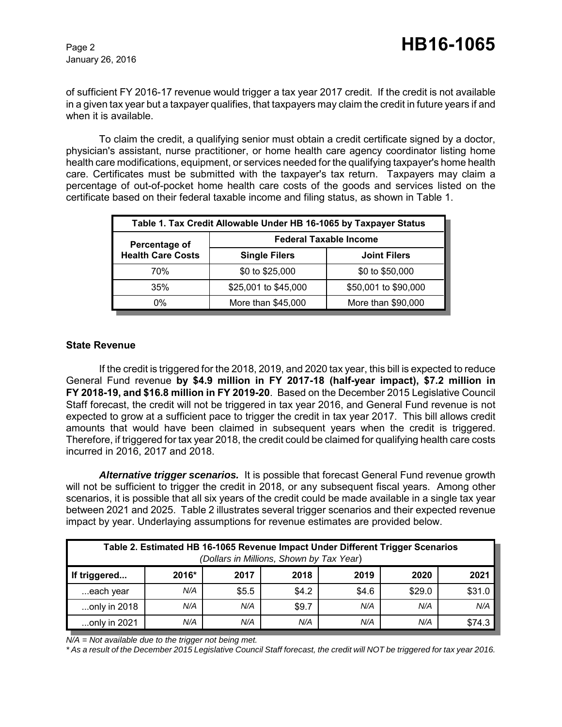January 26, 2016

of sufficient FY 2016-17 revenue would trigger a tax year 2017 credit. If the credit is not available in a given tax year but a taxpayer qualifies, that taxpayers may claim the credit in future years if and when it is available.

To claim the credit, a qualifying senior must obtain a credit certificate signed by a doctor, physician's assistant, nurse practitioner, or home health care agency coordinator listing home health care modifications, equipment, or services needed for the qualifying taxpayer's home health care. Certificates must be submitted with the taxpayer's tax return. Taxpayers may claim a percentage of out-of-pocket home health care costs of the goods and services listed on the certificate based on their federal taxable income and filing status, as shown in Table 1.

| Table 1. Tax Credit Allowable Under HB 16-1065 by Taxpayer Status |                               |                      |  |  |  |
|-------------------------------------------------------------------|-------------------------------|----------------------|--|--|--|
| Percentage of                                                     | <b>Federal Taxable Income</b> |                      |  |  |  |
| <b>Health Care Costs</b>                                          | <b>Single Filers</b>          | <b>Joint Filers</b>  |  |  |  |
| 70%                                                               | \$0 to \$25,000               | \$0 to \$50,000      |  |  |  |
| 35%                                                               | \$25,001 to \$45,000          | \$50,001 to \$90,000 |  |  |  |
| 0%                                                                | More than \$45,000            | More than \$90,000   |  |  |  |

#### **State Revenue**

If the credit is triggered for the 2018, 2019, and 2020 tax year, this bill is expected to reduce General Fund revenue **by \$4.9 million in FY 2017-18 (half-year impact), \$7.2 million in FY 2018-19, and \$16.8 million in FY 2019-20**. Based on the December 2015 Legislative Council Staff forecast, the credit will not be triggered in tax year 2016, and General Fund revenue is not expected to grow at a sufficient pace to trigger the credit in tax year 2017. This bill allows credit amounts that would have been claimed in subsequent years when the credit is triggered. Therefore, if triggered for tax year 2018, the credit could be claimed for qualifying health care costs incurred in 2016, 2017 and 2018.

*Alternative trigger scenarios.* It is possible that forecast General Fund revenue growth will not be sufficient to trigger the credit in 2018, or any subsequent fiscal years. Among other scenarios, it is possible that all six years of the credit could be made available in a single tax year between 2021 and 2025. Table 2 illustrates several trigger scenarios and their expected revenue impact by year. Underlaying assumptions for revenue estimates are provided below.

| Table 2. Estimated HB 16-1065 Revenue Impact Under Different Trigger Scenarios<br>(Dollars in Millions, Shown by Tax Year) |       |       |       |       |        |        |  |
|----------------------------------------------------------------------------------------------------------------------------|-------|-------|-------|-------|--------|--------|--|
| If triggered                                                                                                               | 2016* | 2017  | 2018  | 2019  | 2020   | 2021   |  |
| each year                                                                                                                  | N/A   | \$5.5 | \$4.2 | \$4.6 | \$29.0 | \$31.0 |  |
| only in 2018                                                                                                               | N/A   | N/A   | \$9.7 | N/A   | N/A    | N/A    |  |
| only in 2021                                                                                                               | N/A   | N/A   | N/A   | N/A   | N/A    | \$74.3 |  |

*N/A = Not available due to the trigger not being met.* 

*\* As a result of the December 2015 Legislative Council Staff forecast, the credit will NOT be triggered for tax year 2016.*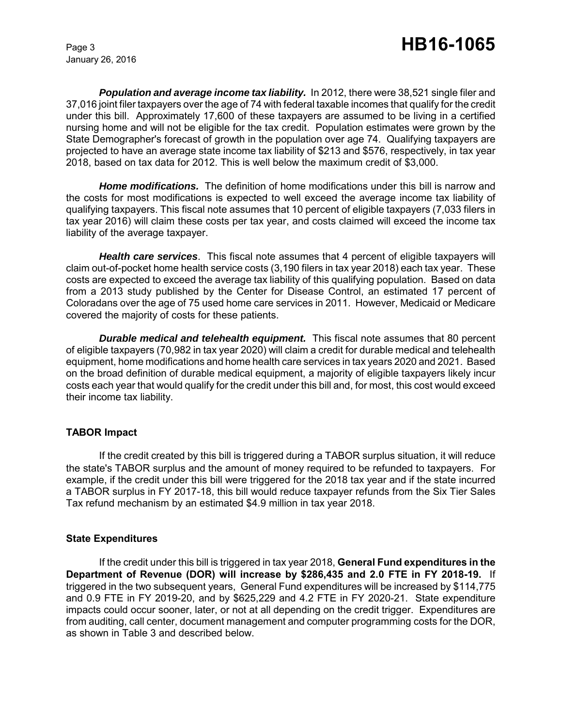January 26, 2016

**Population and average income tax liability.** In 2012, there were 38,521 single filer and 37,016 joint filer taxpayers over the age of 74 with federal taxable incomes that qualify for the credit under this bill. Approximately 17,600 of these taxpayers are assumed to be living in a certified nursing home and will not be eligible for the tax credit. Population estimates were grown by the State Demographer's forecast of growth in the population over age 74. Qualifying taxpayers are projected to have an average state income tax liability of \$213 and \$576, respectively, in tax year 2018, based on tax data for 2012. This is well below the maximum credit of \$3,000.

*Home modifications.* The definition of home modifications under this bill is narrow and the costs for most modifications is expected to well exceed the average income tax liability of qualifying taxpayers. This fiscal note assumes that 10 percent of eligible taxpayers (7,033 filers in tax year 2016) will claim these costs per tax year, and costs claimed will exceed the income tax liability of the average taxpayer.

*Health care services*. This fiscal note assumes that 4 percent of eligible taxpayers will claim out-of-pocket home health service costs (3,190 filers in tax year 2018) each tax year. These costs are expected to exceed the average tax liability of this qualifying population. Based on data from a 2013 study published by the Center for Disease Control, an estimated 17 percent of Coloradans over the age of 75 used home care services in 2011. However, Medicaid or Medicare covered the majority of costs for these patients.

*Durable medical and telehealth equipment.* This fiscal note assumes that 80 percent of eligible taxpayers (70,982 in tax year 2020) will claim a credit for durable medical and telehealth equipment, home modifications and home health care services in tax years 2020 and 2021. Based on the broad definition of durable medical equipment, a majority of eligible taxpayers likely incur costs each year that would qualify for the credit under this bill and, for most, this cost would exceed their income tax liability.

#### **TABOR Impact**

If the credit created by this bill is triggered during a TABOR surplus situation, it will reduce the state's TABOR surplus and the amount of money required to be refunded to taxpayers. For example, if the credit under this bill were triggered for the 2018 tax year and if the state incurred a TABOR surplus in FY 2017-18, this bill would reduce taxpayer refunds from the Six Tier Sales Tax refund mechanism by an estimated \$4.9 million in tax year 2018.

#### **State Expenditures**

If the credit under this bill is triggered in tax year 2018, **General Fund expenditures in the Department of Revenue (DOR) will increase by \$286,435 and 2.0 FTE in FY 2018-19.** If triggered in the two subsequent years, General Fund expenditures will be increased by \$114,775 and 0.9 FTE in FY 2019-20, and by \$625,229 and 4.2 FTE in FY 2020-21. State expenditure impacts could occur sooner, later, or not at all depending on the credit trigger. Expenditures are from auditing, call center, document management and computer programming costs for the DOR, as shown in Table 3 and described below.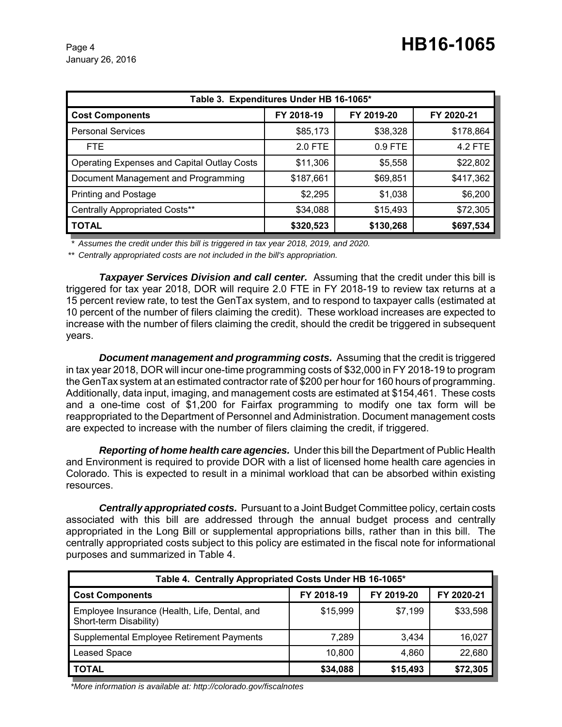| Table 3. Expenditures Under HB 16-1065*            |            |            |            |  |  |  |
|----------------------------------------------------|------------|------------|------------|--|--|--|
| <b>Cost Components</b>                             | FY 2018-19 | FY 2019-20 | FY 2020-21 |  |  |  |
| <b>Personal Services</b>                           | \$85,173   | \$38,328   | \$178,864  |  |  |  |
| FTE.                                               | 2.0 FTE    | $0.9$ FTE  | 4.2 FTE    |  |  |  |
| <b>Operating Expenses and Capital Outlay Costs</b> | \$11,306   | \$5,558    | \$22,802   |  |  |  |
| Document Management and Programming                | \$187,661  | \$69,851   | \$417,362  |  |  |  |
| <b>Printing and Postage</b>                        | \$2,295    | \$1,038    | \$6,200    |  |  |  |
| Centrally Appropriated Costs**                     | \$34,088   | \$15,493   | \$72,305   |  |  |  |
| <b>TOTAL</b>                                       | \$320,523  | \$130,268  | \$697,534  |  |  |  |

*\* Assumes the credit under this bill is triggered in tax year 2018, 2019, and 2020.*

*\*\* Centrally appropriated costs are not included in the bill's appropriation.*

*Taxpayer Services Division and call center.* Assuming that the credit under this bill is triggered for tax year 2018, DOR will require 2.0 FTE in FY 2018-19 to review tax returns at a 15 percent review rate, to test the GenTax system, and to respond to taxpayer calls (estimated at 10 percent of the number of filers claiming the credit). These workload increases are expected to increase with the number of filers claiming the credit, should the credit be triggered in subsequent years.

*Document management and programming costs.* Assuming that the credit is triggered in tax year 2018, DOR will incur one-time programming costs of \$32,000 in FY 2018-19 to program the GenTax system at an estimated contractor rate of \$200 per hour for 160 hours of programming. Additionally, data input, imaging, and management costs are estimated at \$154,461. These costs and a one-time cost of \$1,200 for Fairfax programming to modify one tax form will be reappropriated to the Department of Personnel and Administration. Document management costs are expected to increase with the number of filers claiming the credit, if triggered.

*Reporting of home health care agencies.* Under this bill the Department of Public Health and Environment is required to provide DOR with a list of licensed home health care agencies in Colorado. This is expected to result in a minimal workload that can be absorbed within existing resources.

*Centrally appropriated costs.* Pursuant to a Joint Budget Committee policy, certain costs associated with this bill are addressed through the annual budget process and centrally appropriated in the Long Bill or supplemental appropriations bills, rather than in this bill. The centrally appropriated costs subject to this policy are estimated in the fiscal note for informational purposes and summarized in Table 4.

| Table 4. Centrally Appropriated Costs Under HB 16-1065*                 |            |            |            |  |  |
|-------------------------------------------------------------------------|------------|------------|------------|--|--|
| <b>Cost Components</b>                                                  | FY 2018-19 | FY 2019-20 | FY 2020-21 |  |  |
| Employee Insurance (Health, Life, Dental, and<br>Short-term Disability) | \$15,999   | \$7,199    | \$33,598   |  |  |
| Supplemental Employee Retirement Payments                               | 7.289      | 3,434      | 16,027     |  |  |
| <b>Leased Space</b>                                                     | 10,800     | 4,860      | 22,680     |  |  |
| <b>TOTAL</b>                                                            | \$34,088   | \$15,493   | \$72,305   |  |  |

 *\*More information is available at: http://colorado.gov/fiscalnotes*